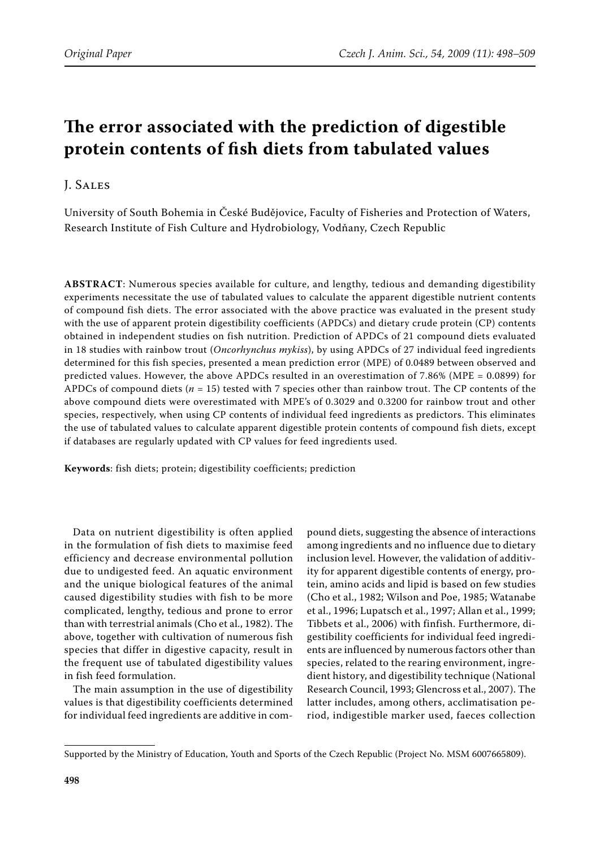# **The error associated with the prediction of digestible protein contents of fish diets from tabulated values**

# J. Sales

University of South Bohemia in České Budějovice, Faculty of Fisheries and Protection of Waters, Research Institute of Fish Culture and Hydrobiology, Vodňany, Czech Republic

**Abstract**: Numerous species available for culture, and lengthy, tedious and demanding digestibility experiments necessitate the use of tabulated values to calculate the apparent digestible nutrient contents of compound fish diets. The error associated with the above practice was evaluated in the present study with the use of apparent protein digestibility coefficients (APDCs) and dietary crude protein (CP) contents obtained in independent studies on fish nutrition. Prediction of APDCs of 21 compound diets evaluated in 18 studies with rainbow trout (*Oncorhynchus mykiss*), by using APDCs of 27 individual feed ingredients determined for this fish species, presented a mean prediction error (MPE) of 0.0489 between observed and predicted values. However, the above APDCs resulted in an overestimation of 7.86% (MPE = 0.0899) for APDCs of compound diets (*n* = 15) tested with 7 species other than rainbow trout. The CP contents of the above compound diets were overestimated with MPE's of 0.3029 and 0.3200 for rainbow trout and other species, respectively, when using CP contents of individual feed ingredients as predictors. This eliminates the use of tabulated values to calculate apparent digestible protein contents of compound fish diets, except if databases are regularly updated with CP values for feed ingredients used.

**Keywords**: fish diets; protein; digestibility coefficients; prediction

Data on nutrient digestibility is often applied in the formulation of fish diets to maximise feed efficiency and decrease environmental pollution due to undigested feed. An aquatic environment and the unique biological features of the animal caused digestibility studies with fish to be more complicated, lengthy, tedious and prone to error than with terrestrial animals (Cho et al., 1982). The above, together with cultivation of numerous fish species that differ in digestive capacity, result in the frequent use of tabulated digestibility values in fish feed formulation.

The main assumption in the use of digestibility values is that digestibility coefficients determined for individual feed ingredients are additive in com-

pound diets, suggesting the absence of interactions among ingredients and no influence due to dietary inclusion level. However, the validation of additivity for apparent digestible contents of energy, protein, amino acids and lipid is based on few studies (Cho et al., 1982; Wilson and Poe, 1985; Watanabe et al., 1996; Lupatsch et al., 1997; Allan et al., 1999; Tibbets et al., 2006) with finfish. Furthermore, digestibility coefficients for individual feed ingredients are influenced by numerous factors other than species, related to the rearing environment, ingredient history, and digestibility technique (National Research Council, 1993; Glencross et al., 2007). The latter includes, among others, acclimatisation period, indigestible marker used, faeces collection

Supported by the Ministry of Education, Youth and Sports of the Czech Republic (Project No. MSM 6007665809).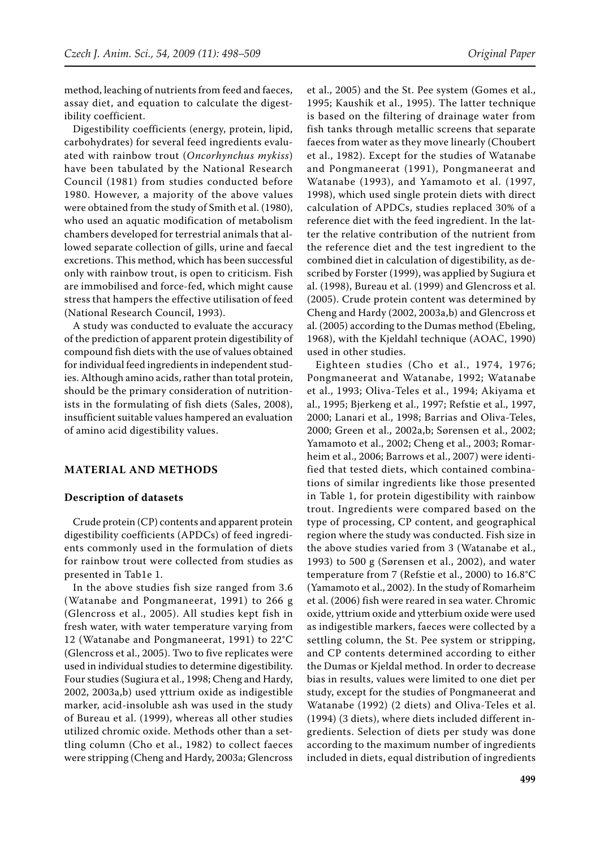method, leaching of nutrients from feed and faeces, assay diet, and equation to calculate the digestibility coefficient.

Digestibility coefficients (energy, protein, lipid, carbohydrates) for several feed ingredients evaluated with rainbow trout (*Oncorhynchus mykiss*) have been tabulated by the National Research Council (1981) from studies conducted before 1980. However, a majority of the above values were obtained from the study of Smith et al. (1980), who used an aquatic modification of metabolism chambers developed for terrestrial animals that allowed separate collection of gills, urine and faecal excretions. This method, which has been successful only with rainbow trout, is open to criticism. Fish are immobilised and force-fed, which might cause stress that hampers the effective utilisation of feed (National Research Council, 1993).

A study was conducted to evaluate the accuracy of the prediction of apparent protein digestibility of compound fish diets with the use of values obtained for individual feed ingredients in independent studies. Although amino acids, rather than total protein, should be the primary consideration of nutritionists in the formulating of fish diets (Sales, 2008), insufficient suitable values hampered an evaluation of amino acid digestibility values.

#### **Material and methods**

#### **Description of datasets**

Crude protein (CP) contents and apparent protein digestibility coefficients (APDCs) of feed ingredients commonly used in the formulation of diets for rainbow trout were collected from studies as presented in Tab1e 1.

In the above studies fish size ranged from 3.6 (Watanabe and Pongmaneerat, 1991) to 266 g (Glencross et al., 2005). All studies kept fish in fresh water, with water temperature varying from 12 (Watanabe and Pongmaneerat, 1991) to 22°C (Glencross et al., 2005). Two to five replicates were used in individual studies to determine digestibility. Four studies (Sugiura et al., 1998; Cheng and Hardy, 2002, 2003a,b) used yttrium oxide as indigestible marker, acid-insoluble ash was used in the study of Bureau et al. (1999), whereas all other studies utilized chromic oxide. Methods other than a settling column (Cho et al., 1982) to collect faeces were stripping (Cheng and Hardy, 2003a; Glencross

et al., 2005) and the St. Pee system (Gomes et al., 1995; Kaushik et al., 1995). The latter technique is based on the filtering of drainage water from fish tanks through metallic screens that separate faeces from water as they move linearly (Choubert et al., 1982). Except for the studies of Watanabe and Pongmaneerat (1991), Pongmaneerat and Watanabe (1993), and Yamamoto et al. (1997, 1998), which used single protein diets with direct calculation of APDCs, studies replaced 30% of a reference diet with the feed ingredient. In the latter the relative contribution of the nutrient from the reference diet and the test ingredient to the combined diet in calculation of digestibility, as described by Forster (1999), was applied by Sugiura et al. (1998), Bureau et al. (1999) and Glencross et al. (2005). Crude protein content was determined by Cheng and Hardy (2002, 2003a,b) and Glencross et al. (2005) according to the Dumas method (Ebeling, 1968), with the Kjeldahl technique (AOAC, 1990) used in other studies.

Eighteen studies (Cho et al., 1974, 1976; Pongmaneerat and Watanabe, 1992; Watanabe et al., 1993; Oliva-Teles et al., 1994; Akiyama et al., 1995; Bjerkeng et al., 1997; Refstie et al., 1997, 2000; Lanari et al., 1998; Barrias and Oliva-Teles, 2000; Green et al., 2002a,b; Sørensen et al., 2002; Yamamoto et al., 2002; Cheng et al., 2003; Romarheim et al., 2006; Barrows et al., 2007) were identified that tested diets, which contained combinations of similar ingredients like those presented in Table 1, for protein digestibility with rainbow trout. Ingredients were compared based on the type of processing, CP content, and geographical region where the study was conducted. Fish size in the above studies varied from 3 (Watanabe et al., 1993) to 500 g (Sørensen et al., 2002), and water temperature from 7 (Refstie et al., 2000) to 16.8°C (Yamamoto et al., 2002). In the study of Romarheim et al. (2006) fish were reared in sea water. Chromic oxide, yttrium oxide and ytterbium oxide were used as indigestible markers, faeces were collected by a settling column, the St. Pee system or stripping, and CP contents determined according to either the Dumas or Kjeldal method. In order to decrease bias in results, values were limited to one diet per study, except for the studies of Pongmaneerat and Watanabe (1992) (2 diets) and Oliva-Teles et al. (1994) (3 diets), where diets included different ingredients. Selection of diets per study was done according to the maximum number of ingredients included in diets, equal distribution of ingredients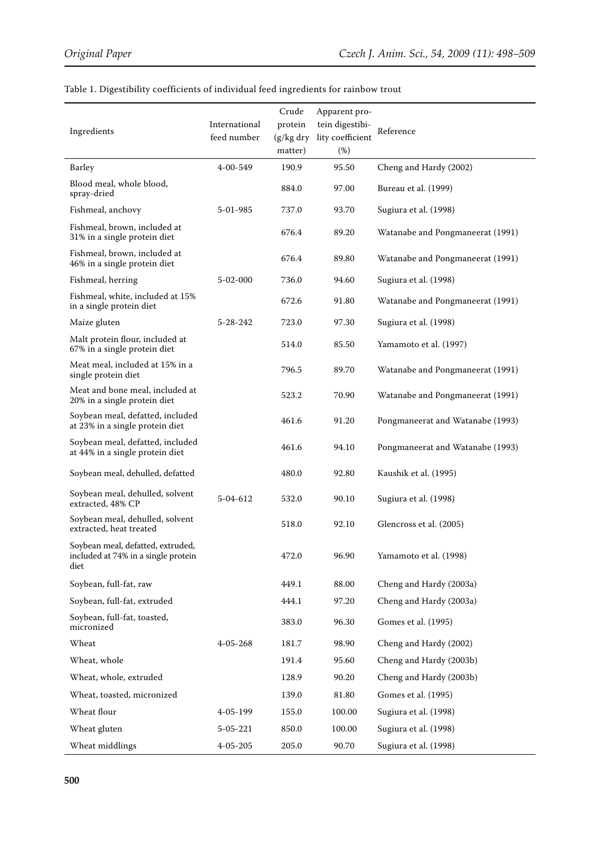| Ingredients                                                                      | International<br>feed number | Crude<br>protein<br>$(g/kg$ dry<br>matter) | Apparent pro-<br>tein digestibi-<br>lity coefficient<br>(%) | Reference                        |
|----------------------------------------------------------------------------------|------------------------------|--------------------------------------------|-------------------------------------------------------------|----------------------------------|
| Barley                                                                           | 4-00-549                     | 190.9                                      | 95.50                                                       | Cheng and Hardy (2002)           |
| Blood meal, whole blood,<br>spray-dried                                          |                              | 884.0                                      | 97.00                                                       | Bureau et al. (1999)             |
| Fishmeal, anchovy                                                                | 5-01-985                     | 737.0                                      | 93.70                                                       | Sugiura et al. (1998)            |
| Fishmeal, brown, included at<br>31% in a single protein diet                     |                              | 676.4                                      | 89.20                                                       | Watanabe and Pongmaneerat (1991) |
| Fishmeal, brown, included at<br>46% in a single protein diet                     |                              | 676.4                                      | 89.80                                                       | Watanabe and Pongmaneerat (1991) |
| Fishmeal, herring                                                                | $5 - 02 - 000$               | 736.0                                      | 94.60                                                       | Sugiura et al. (1998)            |
| Fishmeal, white, included at 15%<br>in a single protein diet                     |                              | 672.6                                      | 91.80                                                       | Watanabe and Pongmaneerat (1991) |
| Maize gluten                                                                     | 5-28-242                     | 723.0                                      | 97.30                                                       | Sugiura et al. (1998)            |
| Malt protein flour, included at<br>67% in a single protein diet                  |                              | 514.0                                      | 85.50                                                       | Yamamoto et al. (1997)           |
| Meat meal, included at 15% in a<br>single protein diet                           |                              | 796.5                                      | 89.70                                                       | Watanabe and Pongmaneerat (1991) |
| Meat and bone meal, included at<br>20% in a single protein diet                  |                              | 523.2                                      | 70.90                                                       | Watanabe and Pongmaneerat (1991) |
| Soybean meal, defatted, included<br>at 23% in a single protein diet              |                              | 461.6                                      | 91.20                                                       | Pongmaneerat and Watanabe (1993) |
| Soybean meal, defatted, included<br>at 44% in a single protein diet              |                              | 461.6                                      | 94.10                                                       | Pongmaneerat and Watanabe (1993) |
| Soybean meal, dehulled, defatted                                                 |                              | 480.0                                      | 92.80                                                       | Kaushik et al. (1995)            |
| Soybean meal, dehulled, solvent<br>extracted, 48% CP                             | 5-04-612                     | 532.0                                      | 90.10                                                       | Sugiura et al. (1998)            |
| Soybean meal, dehulled, solvent<br>extracted, heat treated                       |                              | 518.0                                      | 92.10                                                       | Glencross et al. (2005)          |
| Soybean meal, defatted, extruded,<br>included at 74% in a single protein<br>diet |                              | 472.0                                      | 96.90                                                       | Yamamoto et al. (1998)           |
| Soybean, full-fat, raw                                                           |                              | 449.1                                      | 88.00                                                       | Cheng and Hardy (2003a)          |
| Soybean, full-fat, extruded                                                      |                              | 444.1                                      | 97.20                                                       | Cheng and Hardy (2003a)          |
| Soybean, full-fat, toasted,<br>micronized                                        |                              | 383.0                                      | 96.30                                                       | Gomes et al. (1995)              |
| Wheat                                                                            | $4 - 05 - 268$               | 181.7                                      | 98.90                                                       | Cheng and Hardy (2002)           |
| Wheat, whole                                                                     |                              | 191.4                                      | 95.60                                                       | Cheng and Hardy (2003b)          |
| Wheat, whole, extruded                                                           |                              | 128.9                                      | 90.20                                                       | Cheng and Hardy (2003b)          |
| Wheat, toasted, micronized                                                       |                              | 139.0                                      | 81.80                                                       | Gomes et al. (1995)              |
| Wheat flour                                                                      | 4-05-199                     | 155.0                                      | 100.00                                                      | Sugiura et al. (1998)            |
| Wheat gluten                                                                     | 5-05-221                     | 850.0                                      | 100.00                                                      | Sugiura et al. (1998)            |
| Wheat middlings                                                                  | $4 - 05 - 205$               | 205.0                                      | 90.70                                                       | Sugiura et al. (1998)            |

# Table 1. Digestibility coefficients of individual feed ingredients for rainbow trout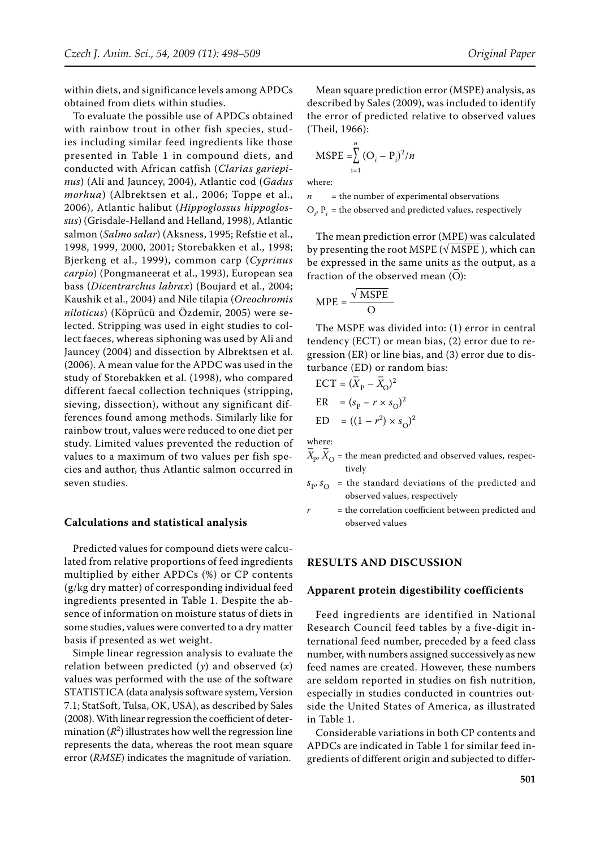within diets, and significance levels among APDCs obtained from diets within studies.

To evaluate the possible use of APDCs obtained with rainbow trout in other fish species, studies including similar feed ingredients like those presented in Table 1 in compound diets, and conducted with African catfish (*Clarias gariepinus*) (Ali and Jauncey, 2004), Atlantic cod (*Gadus morhua*) (Albrektsen et al., 2006; Toppe et al., 2006), Atlantic halibut (*Hippoglossus hippoglossus*) (Grisdale-Helland and Helland, 1998), Atlantic salmon (*Salmo salar*) (Aksness, 1995; Refstie et al., 1998, 1999, 2000, 2001; Storebakken et al., 1998; Bjerkeng et al., 1999), common carp (*Cyprinus carpio*) (Pongmaneerat et al., 1993), European sea bass (*Dicentrarchus labrax*) (Boujard et al., 2004; Kaushik et al., 2004) and Nile tilapia (*Oreochromis niloticus*) (Köprücü and Özdemir, 2005) were selected. Stripping was used in eight studies to collect faeces, whereas siphoning was used by Ali and Jauncey (2004) and dissection by Albrektsen et al. (2006). A mean value for the APDC was used in the study of Storebakken et al. (1998), who compared different faecal collection techniques (stripping, sieving, dissection), without any significant differences found among methods. Similarly like for rainbow trout, values were reduced to one diet per study. Limited values prevented the reduction of values to a maximum of two values per fish species and author, thus Atlantic salmon occurred in seven studies.

#### **Calculations and statistical analysis**

Predicted values for compound diets were calculated from relative proportions of feed ingredients multiplied by either APDCs (%) or CP contents (g/kg dry matter) of corresponding individual feed ingredients presented in Table 1. Despite the absence of information on moisture status of diets in some studies, values were converted to a dry matter basis if presented as wet weight.

Simple linear regression analysis to evaluate the relation between predicted (*y*) and observed (*x*) values was performed with the use of the software STATISTICA (data analysis software system, Version 7.1; StatSoft, Tulsa, OK, USA), as described by Sales (2008). With linear regression the coefficient of determination  $(R^2)$  illustrates how well the regression line represents the data, whereas the root mean square error (*RMSE*) indicates the magnitude of variation.

Mean square prediction error (MSPE) analysis, as described by Sales (2009), was included to identify the error of predicted relative to observed values (Theil, 1966):

$$
MSPE = \sum_{i=1}^{n} (O_i - P_i)^2/n
$$

where:

*n =* the number of experimental observations  $O_i$ ,  $P_i$  = the observed and predicted values, respectively

The mean prediction error (MPE) was calculated by presenting the root MSPE ( $\sqrt{\text{MSPE}}$ ), which can be expressed in the same units as the output, as a  $\frac{1}{2}$  fraction of the observed mean  $(\overline{O})$ :

$$
MPE = \frac{\sqrt{MSPE}}{O}
$$

The MSPE was divided into: (1) error in central tendency (ECT) or mean bias, (2) error due to regression (ER) or line bias, and (3) error due to disturbance (ED) or random bias:

$$
ECT = (\overline{X}_{P} - \overline{X}_{O})^{2}
$$
  
\n
$$
ER = (s_{P} - r \times s_{O})^{2}
$$
  
\n
$$
ED = ((1 - r^{2}) \times s_{O})^{2}
$$

where:

- $\overline{X}_{\rm p}, \overline{X}_{\rm O}$  = the mean predicted and observed values, respectively
- $s_p$ ,  $s_{\Omega}$  = the standard deviations of the predicted and observed values, respectively
- $r =$  the correlation coefficient between predicted and observed values

#### **Results and discussion**

#### **Apparent protein digestibility coefficients**

Feed ingredients are identified in National Research Council feed tables by a five-digit international feed number, preceded by a feed class number, with numbers assigned successively as new feed names are created. However, these numbers are seldom reported in studies on fish nutrition, especially in studies conducted in countries outside the United States of America, as illustrated in Table 1.

Considerable variations in both CP contents and APDCs are indicated in Table 1 for similar feed ingredients of different origin and subjected to differ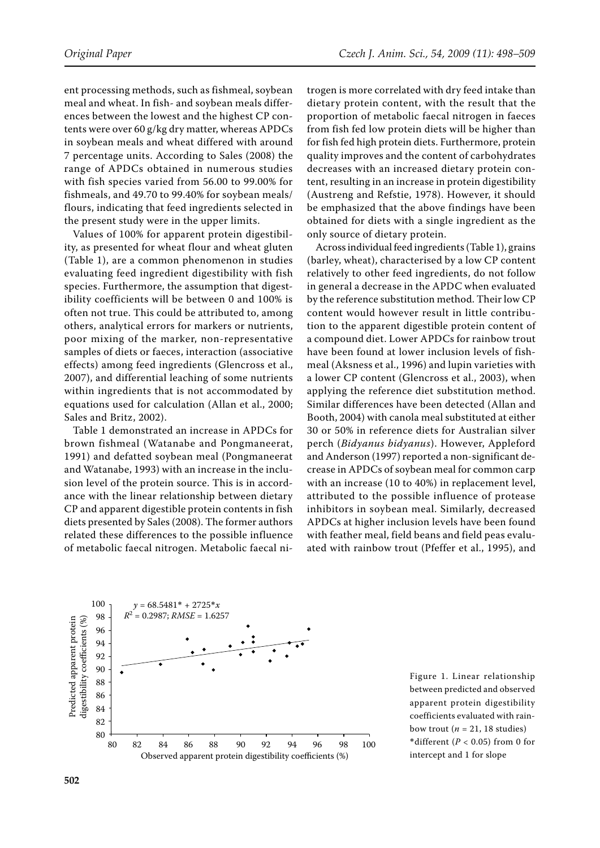ent processing methods, such as fishmeal, soybean meal and wheat. In fish- and soybean meals differences between the lowest and the highest CP contents were over 60 g/kg dry matter, whereas APDCs in soybean meals and wheat differed with around 7 percentage units. According to Sales (2008) the range of APDCs obtained in numerous studies with fish species varied from 56.00 to 99.00% for fishmeals, and 49.70 to 99.40% for soybean meals/ flours, indicating that feed ingredients selected in the present study were in the upper limits.

Values of 100% for apparent protein digestibility, as presented for wheat flour and wheat gluten (Table 1), are a common phenomenon in studies evaluating feed ingredient digestibility with fish species. Furthermore, the assumption that digestibility coefficients will be between 0 and 100% is often not true. This could be attributed to, among others, analytical errors for markers or nutrients, poor mixing of the marker, non-representative samples of diets or faeces, interaction (associative effects) among feed ingredients (Glencross et al., 2007), and differential leaching of some nutrients within ingredients that is not accommodated by equations used for calculation (Allan et al., 2000; Sales and Britz, 2002).

Table 1 demonstrated an increase in APDCs for brown fishmeal (Watanabe and Pongmaneerat, 1991) and defatted soybean meal (Pongmaneerat and Watanabe, 1993) with an increase in the inclusion level of the protein source. This is in accordance with the linear relationship between dietary CP and apparent digestible protein contents in fish diets presented by Sales (2008). The former authors related these differences to the possible influence of metabolic faecal nitrogen. Metabolic faecal nitrogen is more correlated with dry feed intake than dietary protein content, with the result that the proportion of metabolic faecal nitrogen in faeces from fish fed low protein diets will be higher than for fish fed high protein diets. Furthermore, protein quality improves and the content of carbohydrates decreases with an increased dietary protein content, resulting in an increase in protein digestibility (Austreng and Refstie, 1978). However, it should be emphasized that the above findings have been obtained for diets with a single ingredient as the only source of dietary protein.

Across individual feed ingredients (Table 1), grains (barley, wheat), characterised by a low CP content relatively to other feed ingredients, do not follow in general a decrease in the APDC when evaluated by the reference substitution method. Their low CP content would however result in little contribution to the apparent digestible protein content of a compound diet. Lower APDCs for rainbow trout have been found at lower inclusion levels of fishmeal (Aksness et al., 1996) and lupin varieties with a lower CP content (Glencross et al., 2003), when applying the reference diet substitution method. Similar differences have been detected (Allan and Booth, 2004) with canola meal substituted at either 30 or 50% in reference diets for Australian silver perch (*Bidyanus bidyanus*). However, Appleford and Anderson (1997) reported a non-significant decrease in APDCs of soybean meal for common carp with an increase (10 to 40%) in replacement level, attributed to the possible influence of protease inhibitors in soybean meal. Similarly, decreased APDCs at higher inclusion levels have been found with feather meal, field beans and field peas evaluated with rainbow trout (Pfeffer et al., 1995), and



Figure 1. Linear relationship between predicted and observed apparent protein digestibility coefficients evaluated with rainbow trout ( $n = 21$ , 18 studies) \*different ( $P < 0.05$ ) from 0 for intercept and 1 for slope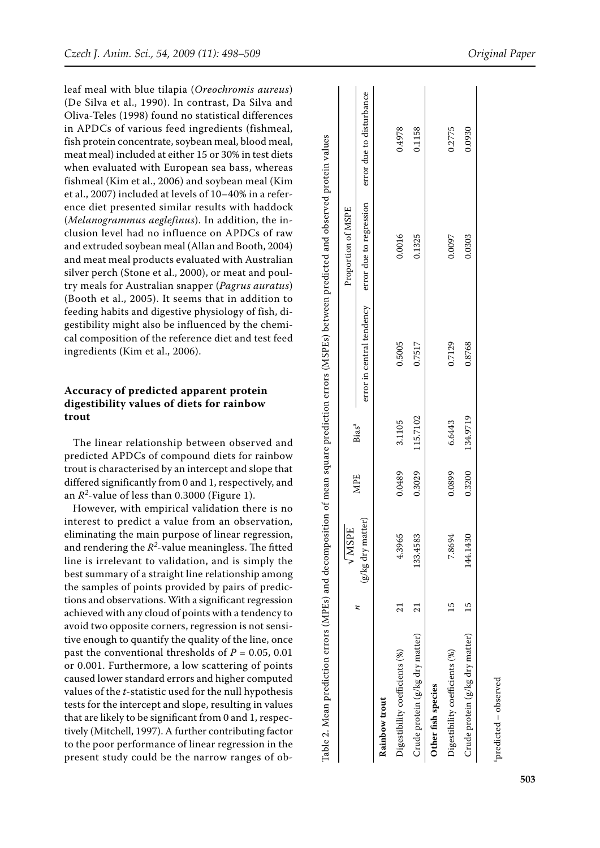leaf meal with blue tilapia (*Oreochromis aureus*) (De Silva et al., 1990). In contrast, Da Silva and Oliva-Teles (1998) found no statistical differences in APDCs of various feed ingredients (fishmeal, fish protein concentrate, soybean meal, blood meal, meat meal) included at either 15 or 30% in test diets when evaluated with European sea bass, whereas fishmeal (Kim et al., 2006) and soybean meal (Kim et al., 2007) included at levels of 10–40% in a refer ence diet presented similar results with haddock (*Melanogrammus aeglefinus*). In addition, the inclusion level had no influence on APDCs of raw and extruded soybean meal (Allan and Booth, 2004) and meat meal products evaluated with Australian silver perch (Stone et al., 2000), or meat and poul try meals for Australian snapper (*Pagrus auratus*) (Booth et al., 2005). It seems that in addition to feeding habits and digestive physiology of fish, di gestibility might also be influenced by the chemi cal composition of the reference diet and test feed ingredients (Kim et al., 2006).

## **Accuracy of predicted apparent protein digestibility values of diets for rainbow trout**

The linear relationship between observed and predicted APDCs of compound diets for rainbow trout is characterised by an intercept and slope that differed significantly from 0 and 1, respectively, and an  $R^2$ -value of less than 0.3000 (Figure 1).

However, with empirical validation there is no interest to predict a value from an observation, eliminating the main purpose of linear regression, and rendering the  $R^2$ -value meaningless. The fitted line is irrelevant to validation, and is simply the best summary of a straight line relationship among the samples of points provided by pairs of predic tions and observations. With a significant regression achieved with any cloud of points with a tendency to avoid two opposite corners, regression is not sensi tive enough to quantify the quality of the line, once past the conventional thresholds of *P* = 0.05, 0.01 or 0.001. Furthermore, a low scattering of points caused lower standard errors and higher computed values of the *t*-statistic used for the null hypothesis tests for the intercept and slope, resulting in values that are likely to be significant from 0 and 1, respec tively (Mitchell, 1997). A further contributing factor to the poor performance of linear regression in the present study could be the narrow ranges of ob -

|                                 | $\sqrt{MSTE}$       |            |                   |                           | Proportion of MSPE      |                          |
|---------------------------------|---------------------|------------|-------------------|---------------------------|-------------------------|--------------------------|
|                                 | $(g/kg$ dry matter) | <b>MPE</b> | Bias <sup>a</sup> | error in central tendency | error due to regression | error due to disturbance |
| Rainbow trout                   |                     |            |                   |                           |                         |                          |
| Digestibility coefficients (%)  | 4.3965              | 0.0489     | 3.1105            | 0.5005                    | 0.0016                  | 0.4978                   |
| Crude protein (g/kg dry matter) | 133.4583            | 0.3029     | 115.7102          | 0.7517                    | 0.1325                  | 0.1158                   |
| Other fish species              |                     |            |                   |                           |                         |                          |
| Digestibility coefficients (%)  | 7.8694              | 0.0899     | 6.6443            | 0.7129                    | 0.0097                  | 0.2775                   |
| Crude protein (g/kg dry matter) | 144.1430            | 0.3200     | 134.9719          | 0.8768                    | 0.0303                  | 0.0930                   |
|                                 |                     |            |                   |                           |                         |                          |

apredicted – observed $predicted - observed$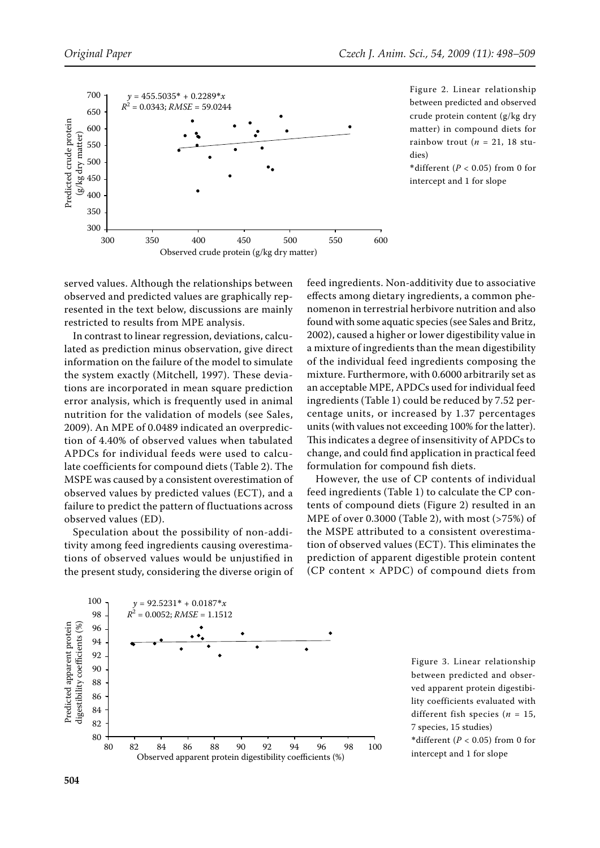

Figure 2. Linear relationship between predicted and observed crude protein content (g/kg dry matter) in compound diets for rainbow trout ( $n = 21$ , 18 studies)

\*different (*P* < 0.05) from 0 for intercept and 1 for slope

served values. Although the relationships between observed and predicted values are graphically represented in the text below, discussions are mainly restricted to results from MPE analysis.

In contrast to linear regression, deviations, calculated as prediction minus observation, give direct information on the failure of the model to simulate the system exactly (Mitchell, 1997). These deviations are incorporated in mean square prediction error analysis, which is frequently used in animal nutrition for the validation of models (see Sales, 2009). An MPE of 0.0489 indicated an overprediction of 4.40% of observed values when tabulated APDCs for individual feeds were used to calculate coefficients for compound diets (Table 2). The MSPE was caused by a consistent overestimation of observed values by predicted values (ECT), and a failure to predict the pattern of fluctuations across observed values (ED).

Speculation about the possibility of non-additivity among feed ingredients causing overestimations of observed values would be unjustified in the present study, considering the diverse origin of

feed ingredients. Non-additivity due to associative effects among dietary ingredients, a common phenomenon in terrestrial herbivore nutrition and also found with some aquatic species (see Sales and Britz, 2002), caused a higher or lower digestibility value in a mixture of ingredients than the mean digestibility of the individual feed ingredients composing the mixture. Furthermore, with 0.6000 arbitrarily set as an acceptable MPE, APDCs used for individual feed ingredients (Table 1) could be reduced by 7.52 percentage units, or increased by 1.37 percentages units (with values not exceeding 100% for the latter). This indicates a degree of insensitivity of APDCs to change, and could find application in practical feed formulation for compound fish diets.

However, the use of CP contents of individual feed ingredients (Table 1) to calculate the CP contents of compound diets (Figure 2) resulted in an MPE of over 0.3000 (Table 2), with most (>75%) of the MSPE attributed to a consistent overestimation of observed values (ECT). This eliminates the prediction of apparent digestible protein content (CP content × APDC) of compound diets from



Figure 3. Linear relationship between predicted and observed apparent protein digestibility coefficients evaluated with different fish species ( $n = 15$ , 7 species, 15 studies)

\*different ( $P < 0.05$ ) from 0 for intercept and 1 for slope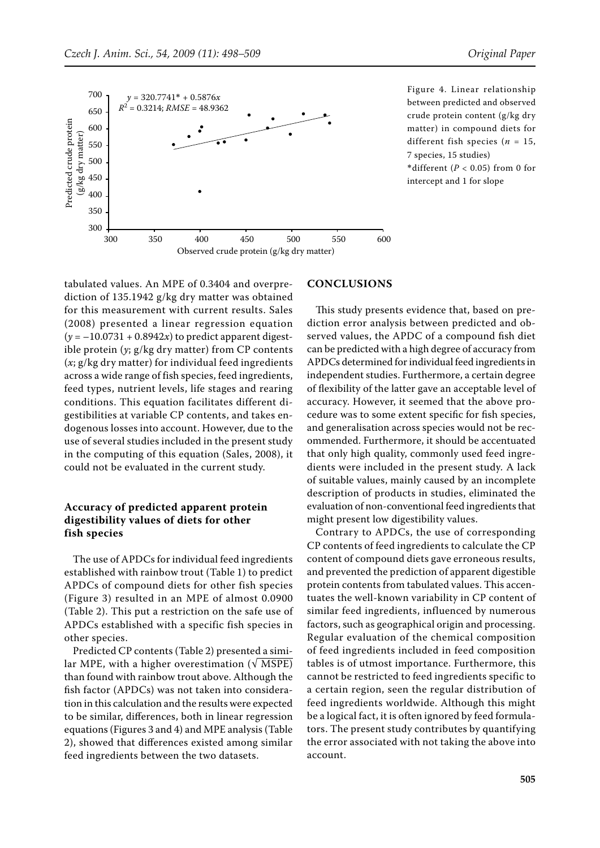

Figure 4. Linear relationship between predicted and observed crude protein content (g/kg dry matter) in compound diets for different fish species (*n* = 15, 7 species, 15 studies) \*different  $(P < 0.05)$  from 0 for intercept and 1 for slope

tabulated values. An MPE of 0.3404 and overprediction of 135.1942 g/kg dry matter was obtained for this measurement with current results. Sales (2008) presented a linear regression equation  $(y = -10.0731 + 0.8942x)$  to predict apparent digestible protein (*y*; g/kg dry matter) from CP contents (*x*; g/kg dry matter) for individual feed ingredients across a wide range of fish species, feed ingredients, feed types, nutrient levels, life stages and rearing conditions. This equation facilitates different digestibilities at variable CP contents, and takes endogenous losses into account. However, due to the use of several studies included in the present study in the computing of this equation (Sales, 2008), it could not be evaluated in the current study.

### **Accuracy of predicted apparent protein digestibility values of diets for other fish species**

The use of APDCs for individual feed ingredients established with rainbow trout (Table 1) to predict APDCs of compound diets for other fish species (Figure 3) resulted in an MPE of almost 0.0900 (Table 2). This put a restriction on the safe use of APDCs established with a specific fish species in other species.

Predicted CP contents (Table 2) presented a similar MPE, with a higher overestimation  $(\sqrt{MSPE})$ than found with rainbow trout above. Although the fish factor (APDCs) was not taken into consideration in this calculation and the results were expected to be similar, differences, both in linear regression equations (Figures 3 and 4) and MPE analysis (Table 2), showed that differences existed among similar feed ingredients between the two datasets.

#### **Conclusions**

This study presents evidence that, based on prediction error analysis between predicted and observed values, the APDC of a compound fish diet can be predicted with a high degree of accuracy from APDCs determined for individual feed ingredients in independent studies. Furthermore, a certain degree of flexibility of the latter gave an acceptable level of accuracy. However, it seemed that the above procedure was to some extent specific for fish species, and generalisation across species would not be recommended. Furthermore, it should be accentuated that only high quality, commonly used feed ingredients were included in the present study. A lack of suitable values, mainly caused by an incomplete description of products in studies, eliminated the evaluation of non-conventional feed ingredients that might present low digestibility values.

Contrary to APDCs, the use of corresponding CP contents of feed ingredients to calculate the CP content of compound diets gave erroneous results, and prevented the prediction of apparent digestible protein contents from tabulated values. This accentuates the well-known variability in CP content of similar feed ingredients, influenced by numerous factors, such as geographical origin and processing. Regular evaluation of the chemical composition of feed ingredients included in feed composition tables is of utmost importance. Furthermore, this cannot be restricted to feed ingredients specific to a certain region, seen the regular distribution of feed ingredients worldwide. Although this might be a logical fact, it is often ignored by feed formulators. The present study contributes by quantifying the error associated with not taking the above into account.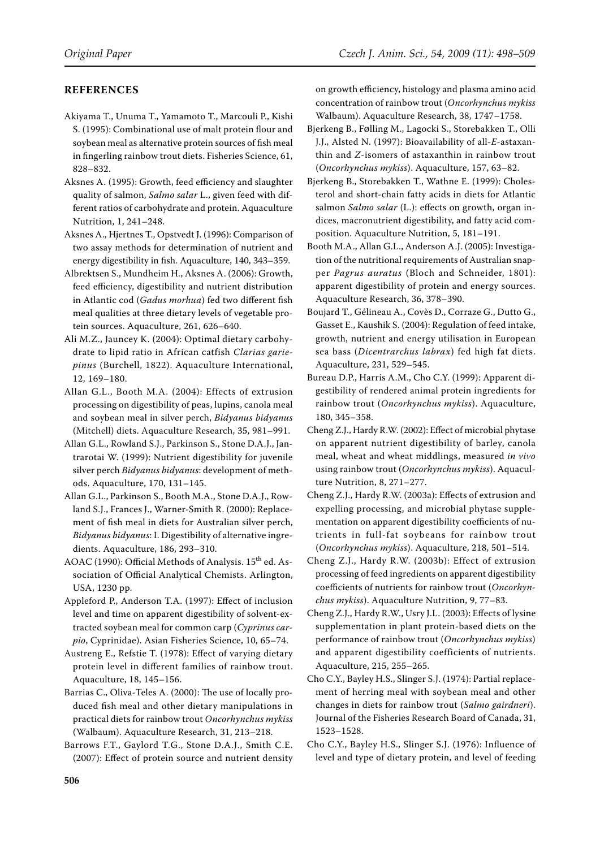# **References**

Akiyama T., Unuma T., Yamamoto T., Marcouli P., Kishi S. (1995): Combinational use of malt protein flour and soybean meal as alternative protein sources of fish meal in fingerling rainbow trout diets. Fisheries Science, 61, 828–832.

Aksnes A. (1995): Growth, feed efficiency and slaughter quality of salmon, *Salmo salar* L., given feed with different ratios of carbohydrate and protein. Aquaculture Nutrition, 1, 241–248.

Aksnes A., Hjertnes T., Opstvedt J. (1996): Comparison of two assay methods for determination of nutrient and energy digestibility in fish. Aquaculture, 140, 343–359.

Albrektsen S., Mundheim H., Aksnes A. (2006): Growth, feed efficiency, digestibility and nutrient distribution in Atlantic cod (*Gadus morhua*) fed two different fish meal qualities at three dietary levels of vegetable protein sources. Aquaculture, 261, 626–640.

Ali M.Z., Jauncey K. (2004): Optimal dietary carbohydrate to lipid ratio in African catfish *Clarias gariepinus* (Burchell, 1822). Aquaculture International, 12, 169–180.

Allan G.L., Booth M.A. (2004): Effects of extrusion processing on digestibility of peas, lupins, canola meal and soybean meal in silver perch, *Bidyanus bidyanus* (Mitchell) diets. Aquaculture Research, 35, 981–991.

Allan G.L., Rowland S.J., Parkinson S., Stone D.A.J., Jantrarotai W. (1999): Nutrient digestibility for juvenile silver perch *Bidyanus bidyanus*: development of methods. Aquaculture, 170, 131–145.

Allan G.L., Parkinson S., Booth M.A., Stone D.A.J., Rowland S.J., Frances J., Warner-Smith R. (2000): Replacement of fish meal in diets for Australian silver perch, *Bidyanus bidyanus*: I. Digestibility of alternative ingredients. Aquaculture, 186, 293–310.

AOAC (1990): Official Methods of Analysis. 15<sup>th</sup> ed. Association of Official Analytical Chemists. Arlington, USA, 1230 pp.

Appleford P., Anderson T.A. (1997): Effect of inclusion level and time on apparent digestibility of solvent-extracted soybean meal for common carp (*Cyprinus carpio*, Cyprinidae). Asian Fisheries Science, 10, 65–74.

Austreng E., Refstie T. (1978): Effect of varying dietary protein level in different families of rainbow trout. Aquaculture, 18, 145–156.

Barrias C., Oliva-Teles A. (2000): The use of locally produced fish meal and other dietary manipulations in practical diets for rainbow trout *Oncorhynchus mykiss*  (Walbaum). Aquaculture Research, 31, 213–218.

Barrows F.T., Gaylord T.G., Stone D.A.J., Smith C.E. (2007): Effect of protein source and nutrient density on growth efficiency, histology and plasma amino acid concentration of rainbow trout (*Oncorhynchus mykiss* Walbaum). Aquaculture Research, 38, 1747–1758.

Bjerkeng B., Følling M., Lagocki S., Storebakken T., Olli J.J., Alsted N. (1997): Bioavailability of all-*E*-astaxanthin and *Z*-isomers of astaxanthin in rainbow trout (*Oncorhynchus mykiss*). Aquaculture, 157, 63–82.

Bjerkeng B., Storebakken T., Wathne E. (1999): Cholesterol and short-chain fatty acids in diets for Atlantic salmon *Salmo salar* (L.): effects on growth, organ indices, macronutrient digestibility, and fatty acid composition. Aquaculture Nutrition, 5, 181–191.

Booth M.A., Allan G.L., Anderson A.J. (2005): Investigation of the nutritional requirements of Australian snapper *Pagrus auratus* (Bloch and Schneider, 1801): apparent digestibility of protein and energy sources. Aquaculture Research, 36, 378–390.

Boujard T., Gélineau A., Covès D., Corraze G., Dutto G., Gasset E., Kaushik S. (2004): Regulation of feed intake, growth, nutrient and energy utilisation in European sea bass (*Dicentrarchus labrax*) fed high fat diets. Aquaculture, 231, 529–545.

Bureau D.P., Harris A.M., Cho C.Y. (1999): Apparent digestibility of rendered animal protein ingredients for rainbow trout (*Oncorhynchus mykiss*). Aquaculture, 180, 345–358.

Cheng Z.J., Hardy R.W. (2002): Effect of microbial phytase on apparent nutrient digestibility of barley, canola meal, wheat and wheat middlings, measured *in vivo* using rainbow trout (*Oncorhynchus mykiss*). Aquaculture Nutrition, 8, 271–277.

Cheng Z.J., Hardy R.W. (2003a): Effects of extrusion and expelling processing, and microbial phytase supplementation on apparent digestibility coefficients of nutrients in full-fat soybeans for rainbow trout (*Oncorhynchus mykiss*). Aquaculture, 218, 501–514.

Cheng Z.J., Hardy R.W. (2003b): Effect of extrusion processing of feed ingredients on apparent digestibility coefficients of nutrients for rainbow trout (*Oncorhynchus mykiss*). Aquaculture Nutrition, 9, 77–83.

Cheng Z.J., Hardy R.W., Usry J.L. (2003): Effects of lysine supplementation in plant protein-based diets on the performance of rainbow trout (*Oncorhynchus mykiss*) and apparent digestibility coefficients of nutrients. Aquaculture, 215, 255–265.

Cho C.Y., Bayley H.S., Slinger S.J. (1974): Partial replacement of herring meal with soybean meal and other changes in diets for rainbow trout (*Salmo gairdneri*). Journal of the Fisheries Research Board of Canada, 31, 1523–1528.

Cho C.Y., Bayley H.S., Slinger S.J. (1976): Influence of level and type of dietary protein, and level of feeding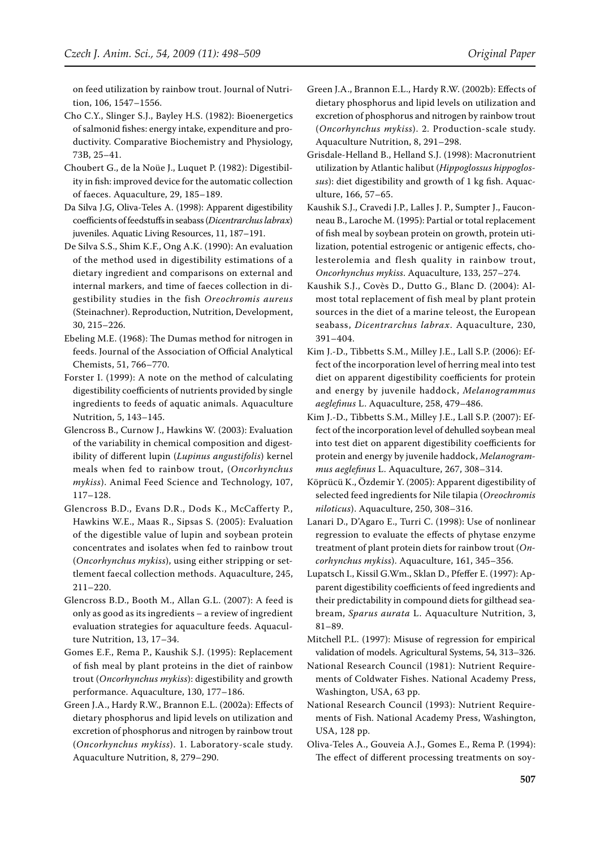on feed utilization by rainbow trout. Journal of Nutrition, 106, 1547–1556.

- Cho C.Y., Slinger S.J., Bayley H.S. (1982): Bioenergetics of salmonid fishes: energy intake, expenditure and productivity. Comparative Biochemistry and Physiology, 73B, 25–41.
- Choubert G., de la Noüe J., Luquet P. (1982): Digestibility in fish: improved device for the automatic collection of faeces. Aquaculture, 29, 185–189.
- Da Silva J.G, Oliva-Teles A. (1998): Apparent digestibility coefficients of feedstuffs in seabass (*Dicentrarchus labrax*) juveniles. Aquatic Living Resources, 11, 187–191.
- De Silva S.S., Shim K.F., Ong A.K. (1990): An evaluation of the method used in digestibility estimations of a dietary ingredient and comparisons on external and internal markers, and time of faeces collection in digestibility studies in the fish *Oreochromis aureus*  (Steinachner). Reproduction, Nutrition, Development, 30, 215–226.
- Ebeling M.E. (1968): The Dumas method for nitrogen in feeds. Journal of the Association of Official Analytical Chemists, 51, 766–770.
- Forster I. (1999): A note on the method of calculating digestibility coefficients of nutrients provided by single ingredients to feeds of aquatic animals. Aquaculture Nutrition, 5, 143–145.
- Glencross B., Curnow J., Hawkins W. (2003): Evaluation of the variability in chemical composition and digestibility of different lupin (*Lupinus angustifolis*) kernel meals when fed to rainbow trout, (*Oncorhynchus mykiss*). Animal Feed Science and Technology, 107, 117–128.
- Glencross B.D., Evans D.R., Dods K., McCafferty P., Hawkins W.E., Maas R., Sipsas S. (2005): Evaluation of the digestible value of lupin and soybean protein concentrates and isolates when fed to rainbow trout (*Oncorhynchus mykiss*), using either stripping or settlement faecal collection methods. Aquaculture, 245, 211–220.
- Glencross B.D., Booth M., Allan G.L. (2007): A feed is only as good as its ingredients – a review of ingredient evaluation strategies for aquaculture feeds. Aquaculture Nutrition, 13, 17–34.
- Gomes E.F., Rema P., Kaushik S.J. (1995): Replacement of fish meal by plant proteins in the diet of rainbow trout (*Oncorhynchus mykiss*): digestibility and growth performance. Aquaculture, 130, 177–186.
- Green J.A., Hardy R.W., Brannon E.L. (2002a): Effects of dietary phosphorus and lipid levels on utilization and excretion of phosphorus and nitrogen by rainbow trout (*Oncorhynchus mykiss*). 1. Laboratory-scale study. Aquaculture Nutrition, 8, 279–290.
- Green J.A., Brannon E.L., Hardy R.W. (2002b): Effects of dietary phosphorus and lipid levels on utilization and excretion of phosphorus and nitrogen by rainbow trout (*Oncorhynchus mykiss*). 2. Production-scale study. Aquaculture Nutrition, 8, 291–298.
- Grisdale-Helland B., Helland S.J. (1998): Macronutrient utilization by Atlantic halibut (*Hippoglossus hippoglossus*): diet digestibility and growth of 1 kg fish. Aquaculture, 166, 57–65.
- Kaushik S.J., Cravedi J.P., Lalles J. P., Sumpter J., Fauconneau B., Laroche M. (1995): Partial or total replacement of fish meal by soybean protein on growth, protein utilization, potential estrogenic or antigenic effects, cholesterolemia and flesh quality in rainbow trout, *Oncorhynchus mykiss*. Aquaculture, 133, 257–274.
- Kaushik S.J., Covès D., Dutto G., Blanc D. (2004): Almost total replacement of fish meal by plant protein sources in the diet of a marine teleost, the European seabass, *Dicentrarchus labrax*. Aquaculture, 230, 391–404.
- Kim J.-D., Tibbetts S.M., Milley J.E., Lall S.P. (2006): Effect of the incorporation level of herring meal into test diet on apparent digestibility coefficients for protein and energy by juvenile haddock, *Melanogrammus aeglefinus* L. Aquaculture, 258, 479–486.
- Kim J.-D., Tibbetts S.M., Milley J.E., Lall S.P. (2007): Effect of the incorporation level of dehulled soybean meal into test diet on apparent digestibility coefficients for protein and energy by juvenile haddock, *Melanogrammus aeglefinus* L. Aquaculture, 267, 308–314.
- Köprücü K., Özdemir Y. (2005): Apparent digestibility of selected feed ingredients for Nile tilapia (*Oreochromis niloticus*). Aquaculture, 250, 308–316.
- Lanari D., D'Agaro E., Turri C. (1998): Use of nonlinear regression to evaluate the effects of phytase enzyme treatment of plant protein diets for rainbow trout (*Oncorhynchus mykiss*). Aquaculture, 161, 345–356.
- Lupatsch I., Kissil G.Wm., Sklan D., Pfeffer E. (1997): Apparent digestibility coefficients of feed ingredients and their predictability in compound diets for gilthead seabream, *Sparus aurata* L. Aquaculture Nutrition, 3, 81–89.
- Mitchell P.L. (1997): Misuse of regression for empirical validation of models. Agricultural Systems, 54, 313–326.
- National Research Council (1981): Nutrient Requirements of Coldwater Fishes. National Academy Press, Washington, USA, 63 pp.
- National Research Council (1993): Nutrient Requirements of Fish. National Academy Press, Washington, USA, 128 pp.
- Oliva-Teles A., Gouveia A.J., Gomes E., Rema P. (1994): The effect of different processing treatments on soy-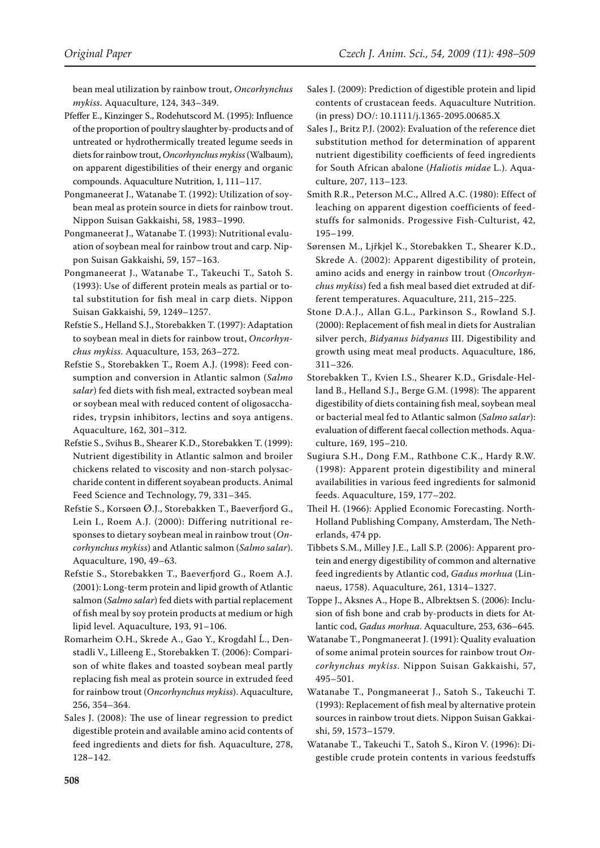bean meal utilization by rainbow trout, *Oncorhynchus mykiss*. Aquaculture, 124, 343–349.

- Pfeffer E., Kinzinger S., Rodehutscord M. (1995): Influence of the proportion of poultry slaughter by-products and of untreated or hydrothermically treated legume seeds in diets for rainbow trout, *Oncorhynchus mykiss* (Walbaum), on apparent digestibilities of their energy and organic compounds. Aquaculture Nutrition, 1, 111–117.
- Pongmaneerat J., Watanabe T. (1992): Utilization of soybean meal as protein source in diets for rainbow trout. Nippon Suisan Gakkaishi, 58, 1983–1990.
- Pongmaneerat J., Watanabe T. (1993): Nutritional evaluation of soybean meal for rainbow trout and carp. Nippon Suisan Gakkaishi, 59, 157–163.
- Pongmaneerat J., Watanabe T., Takeuchi T., Satoh S. (1993): Use of different protein meals as partial or total substitution for fish meal in carp diets. Nippon Suisan Gakkaishi, 59, 1249–1257.
- Refstie S., Helland S.J., Storebakken T. (1997): Adaptation to soybean meal in diets for rainbow trout, *Oncorhynchus mykiss*. Aquaculture, 153, 263–272.
- Refstie S., Storebakken T., Roem A.J. (1998): Feed consumption and conversion in Atlantic salmon (*Salmo salar*) fed diets with fish meal, extracted soybean meal or soybean meal with reduced content of oligosaccharides, trypsin inhibitors, lectins and soya antigens. Aquaculture, 162, 301–312.
- Refstie S., Svihus B., Shearer K.D., Storebakken T. (1999): Nutrient digestibility in Atlantic salmon and broiler chickens related to viscosity and non-starch polysaccharide content in different soyabean products. Animal Feed Science and Technology, 79, 331–345.
- Refstie S., Korsøen Ø.J., Storebakken T., Baeverfjord G., Lein I., Roem A.J. (2000): Differing nutritional responses to dietary soybean meal in rainbow trout (*Oncorhynchus mykiss*) and Atlantic salmon (*Salmo salar*). Aquaculture, 190, 49–63.
- Refstie S., Storebakken T., Baeverfjord G., Roem A.J. (2001): Long-term protein and lipid growth of Atlantic salmon (*Salmo salar*) fed diets with partial replacement of fish meal by soy protein products at medium or high lipid level. Aquaculture, 193, 91–106.
- Romarheim O.H., Skrede A., Gao Y., Krogdahl Ĺ., Denstadli V., Lilleeng E., Storebakken T. (2006): Comparison of white flakes and toasted soybean meal partly replacing fish meal as protein source in extruded feed for rainbow trout (*Oncorhynchus mykiss*). Aquaculture, 256, 354–364.
- Sales J. (2008): The use of linear regression to predict digestible protein and available amino acid contents of feed ingredients and diets for fish. Aquaculture, 278, 128–142.
- Sales J. (2009): Prediction of digestible protein and lipid contents of crustacean feeds. Aquaculture Nutrition. (in press) DO/: 10.1111/j.1365-2095.00685.X
- Sales J., Britz P.J. (2002): Evaluation of the reference diet substitution method for determination of apparent nutrient digestibility coefficients of feed ingredients for South African abalone (*Haliotis midae* L.). Aquaculture, 207, 113–123.
- Smith R.R., Peterson M.C., Allred A.C. (1980): Effect of leaching on apparent digestion coefficients of feedstuffs for salmonids. Progessive Fish-Culturist, 42, 195–199.
- Sørensen M., Ljřkjel K., Storebakken T., Shearer K.D., Skrede A. (2002): Apparent digestibility of protein, amino acids and energy in rainbow trout (*Oncorhynchus mykiss*) fed a fish meal based diet extruded at different temperatures. Aquaculture, 211, 215–225.
- Stone D.A.J., Allan G.L., Parkinson S., Rowland S.J. (2000): Replacement of fish meal in diets for Australian silver perch, *Bidyanus bidyanus* III. Digestibility and growth using meat meal products. Aquaculture, 186, 311–326.
- Storebakken T., Kvien I.S., Shearer K.D., Grisdale-Helland B., Helland S.J., Berge G.M. (1998): The apparent digestibility of diets containing fish meal, soybean meal or bacterial meal fed to Atlantic salmon (*Salmo salar*): evaluation of different faecal collection methods. Aquaculture, 169, 195–210.
- Sugiura S.H., Dong F.M., Rathbone C.K., Hardy R.W. (1998): Apparent protein digestibility and mineral availabilities in various feed ingredients for salmonid feeds. Aquaculture, 159, 177–202.
- Theil H. (1966): Applied Economic Forecasting. North-Holland Publishing Company, Amsterdam, The Netherlands, 474 pp.
- Tibbets S.M., Milley J.E., Lall S.P. (2006): Apparent protein and energy digestibility of common and alternative feed ingredients by Atlantic cod, *Gadus morhua* (Linnaeus, 1758). Aquaculture, 261, 1314–1327.
- Toppe J., Aksnes A., Hope B., Albrektsen S. (2006): Inclusion of fish bone and crab by-products in diets for Atlantic cod, *Gadus morhua*. Aquaculture, 253, 636–645.
- Watanabe T., Pongmaneerat J. (1991): Quality evaluation of some animal protein sources for rainbow trout *Oncorhynchus mykiss*. Nippon Suisan Gakkaishi, 57, 495–501.
- Watanabe T., Pongmaneerat J., Satoh S., Takeuchi T. (1993): Replacement of fish meal by alternative protein sources in rainbow trout diets. Nippon Suisan Gakkaishi, 59, 1573–1579.
- Watanabe T., Takeuchi T., Satoh S., Kiron V. (1996): Digestible crude protein contents in various feedstuffs